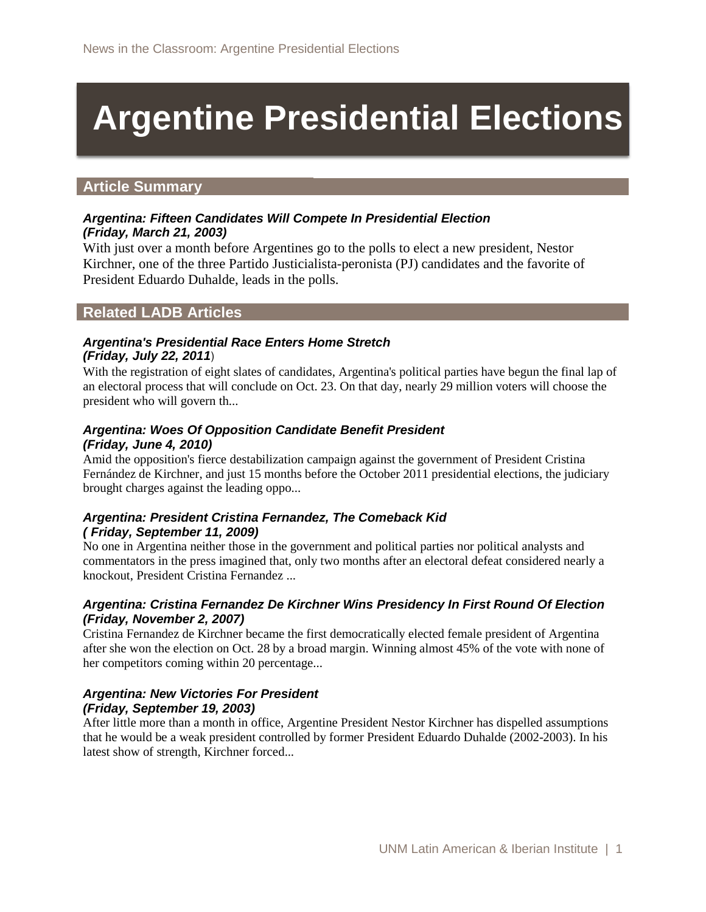# **Argentine Presidential Elections**

# **Article Summary**

#### *Argentina: Fifteen Candidates Will Compete In Presidential Election (Friday, March 21, 2003)*

With just over a month before Argentines go to the polls to elect a new president, Nestor Kirchner, one of the three Partido Justicialista-peronista (PJ) candidates and the favorite of President Eduardo Duhalde, leads in the polls.

# **Related LADB Articles**

#### *Argentina's Presidential Race Enters Home Stretch (Friday, July 22, 2011*)

With the registration of eight slates of candidates, Argentina's political parties have begun the final lap of an electoral process that will conclude on Oct. 23. On that day, nearly 29 million voters will choose the president who will govern th...

#### *Argentina: Woes Of Opposition Candidate Benefit President (Friday, June 4, 2010)*

Amid the opposition's fierce destabilization campaign against the government of President Cristina Fernández de Kirchner, and just 15 months before the October 2011 presidential elections, the judiciary brought charges against the leading oppo...

#### *Argentina: President Cristina Fernandez, The Comeback Kid ( Friday, September 11, 2009)*

No one in Argentina neither those in the government and political parties nor political analysts and commentators in the press imagined that, only two months after an electoral defeat considered nearly a knockout, President Cristina Fernandez ...

#### *Argentina: Cristina Fernandez De Kirchner Wins Presidency In First Round Of Election (Friday, November 2, 2007)*

Cristina Fernandez de Kirchner became the first democratically elected female president of Argentina after she won the election on Oct. 28 by a broad margin. Winning almost 45% of the vote with none of her competitors coming within 20 percentage...

#### *Argentina: New Victories For President (Friday, September 19, 2003)*

After little more than a month in office, Argentine President Nestor Kirchner has dispelled assumptions that he would be a weak president controlled by former President Eduardo Duhalde (2002-2003). In his latest show of strength, Kirchner forced...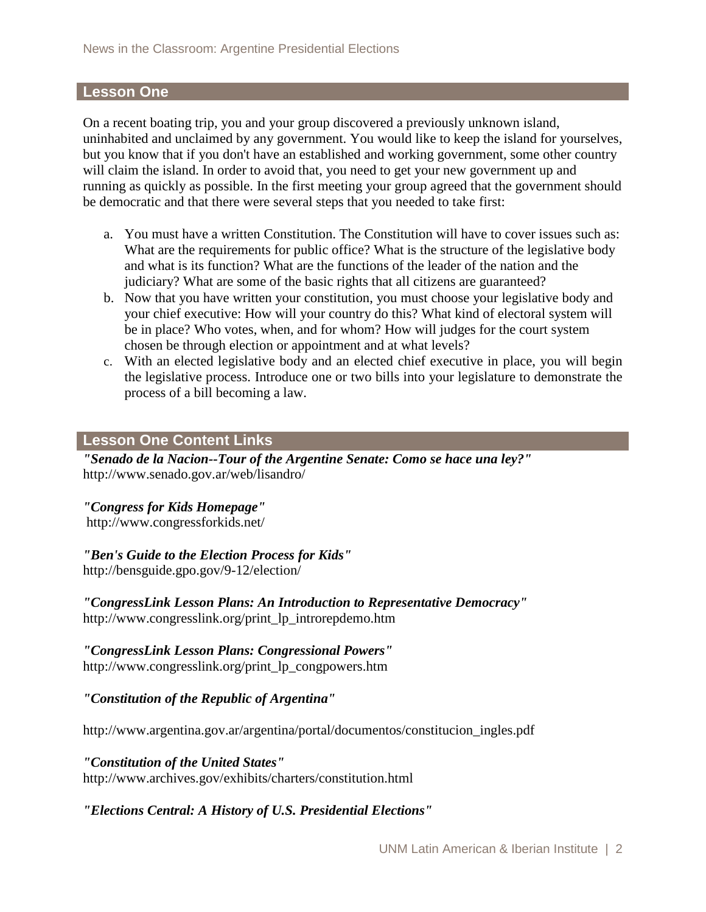# **Lesson One**

On a recent boating trip, you and your group discovered a previously unknown island, uninhabited and unclaimed by any government. You would like to keep the island for yourselves, but you know that if you don't have an established and working government, some other country will claim the island. In order to avoid that, you need to get your new government up and running as quickly as possible. In the first meeting your group agreed that the government should be democratic and that there were several steps that you needed to take first:

- a. You must have a written Constitution. The Constitution will have to cover issues such as: What are the requirements for public office? What is the structure of the legislative body and what is its function? What are the functions of the leader of the nation and the judiciary? What are some of the basic rights that all citizens are guaranteed?
- b. Now that you have written your constitution, you must choose your legislative body and your chief executive: How will your country do this? What kind of electoral system will be in place? Who votes, when, and for whom? How will judges for the court system chosen be through election or appointment and at what levels?
- c. With an elected legislative body and an elected chief executive in place, you will begin the legislative process. Introduce one or two bills into your legislature to demonstrate the process of a bill becoming a law.

#### **Lesson One Content Links**

*"Senado de la Nacion--Tour of the Argentine Senate: Como se hace una ley?"* http://www.senado.gov.ar/web/lisandro/

#### *"Congress for Kids Homepage"*

http://www.congressforkids.net/

#### *"Ben's Guide to the Election Process for Kids"*

http://bensguide.gpo.gov/9-12/election/

*"CongressLink Lesson Plans: An Introduction to Representative Democracy"*  http://www.congresslink.org/print\_lp\_introrepdemo.htm

*"CongressLink Lesson Plans: Congressional Powers"* 

http://www.congresslink.org/print\_lp\_congpowers.htm

*"Constitution of the Republic of Argentina"*

http://www.argentina.gov.ar/argentina/portal/documentos/constitucion\_ingles.pdf

#### *"Constitution of the United States"*

http://www.archives.gov/exhibits/charters/constitution.html

# *"Elections Central: A History of U.S. Presidential Elections"*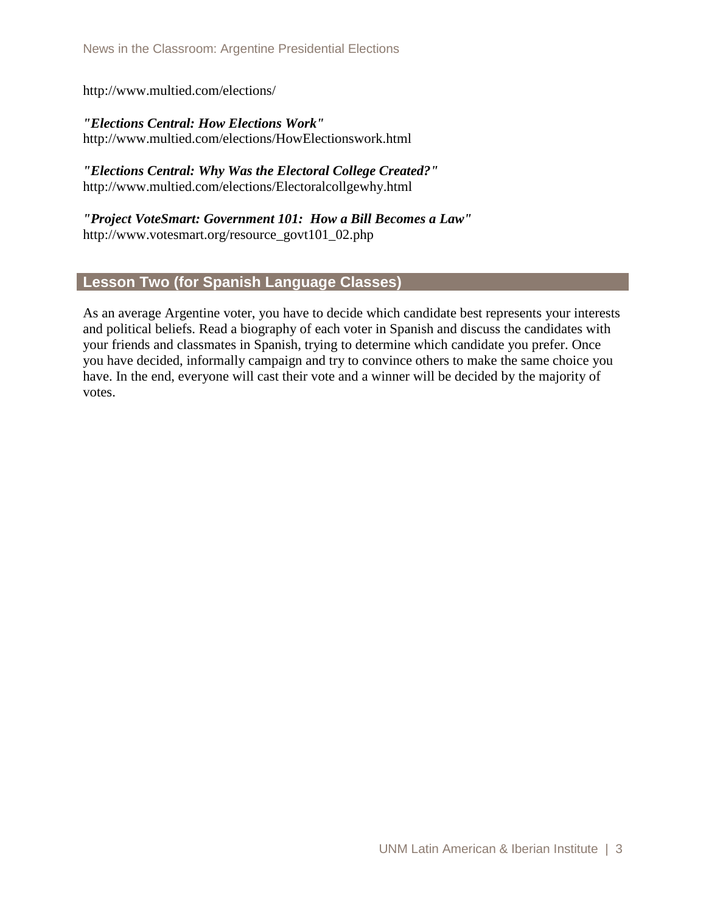http://www.multied.com/elections/

*"Elections Central: How Elections Work"*  http://www.multied.com/elections/HowElectionswork.html

*"Elections Central: Why Was the Electoral College Created?"*  http://www.multied.com/elections/Electoralcollgewhy.html

*"Project VoteSmart: Government 101: How a Bill Becomes a Law"*  http://www.votesmart.org/resource\_govt101\_02.php

# **Lesson Two (for Spanish Language Classes)**

As an average Argentine voter, you have to decide which candidate best represents your interests and political beliefs. Read a biography of each voter in Spanish and discuss the candidates with your friends and classmates in Spanish, trying to determine which candidate you prefer. Once you have decided, informally campaign and try to convince others to make the same choice you have. In the end, everyone will cast their vote and a winner will be decided by the majority of votes.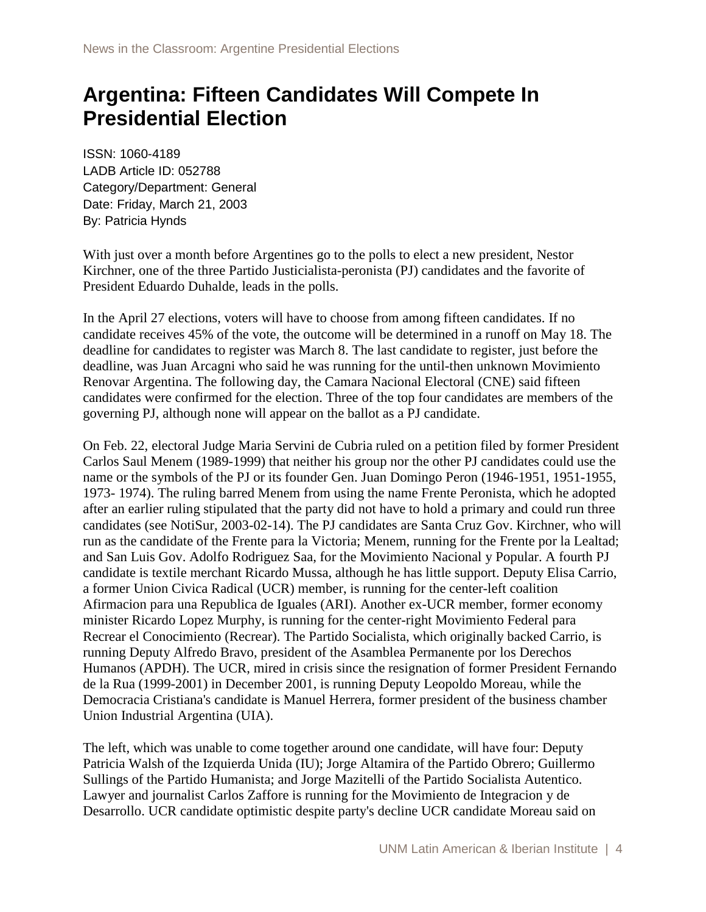# **Argentina: Fifteen Candidates Will Compete In Presidential Election**

ISSN: 1060-4189 LADB Article ID: 052788 Category/Department: General Date: Friday, March 21, 2003 By: Patricia Hynds

With just over a month before Argentines go to the polls to elect a new president, Nestor Kirchner, one of the three Partido Justicialista-peronista (PJ) candidates and the favorite of President Eduardo Duhalde, leads in the polls.

In the April 27 elections, voters will have to choose from among fifteen candidates. If no candidate receives 45% of the vote, the outcome will be determined in a runoff on May 18. The deadline for candidates to register was March 8. The last candidate to register, just before the deadline, was Juan Arcagni who said he was running for the until-then unknown Movimiento Renovar Argentina. The following day, the Camara Nacional Electoral (CNE) said fifteen candidates were confirmed for the election. Three of the top four candidates are members of the governing PJ, although none will appear on the ballot as a PJ candidate.

On Feb. 22, electoral Judge Maria Servini de Cubria ruled on a petition filed by former President Carlos Saul Menem (1989-1999) that neither his group nor the other PJ candidates could use the name or the symbols of the PJ or its founder Gen. Juan Domingo Peron (1946-1951, 1951-1955, 1973- 1974). The ruling barred Menem from using the name Frente Peronista, which he adopted after an earlier ruling stipulated that the party did not have to hold a primary and could run three candidates (see NotiSur, 2003-02-14). The PJ candidates are Santa Cruz Gov. Kirchner, who will run as the candidate of the Frente para la Victoria; Menem, running for the Frente por la Lealtad; and San Luis Gov. Adolfo Rodriguez Saa, for the Movimiento Nacional y Popular. A fourth PJ candidate is textile merchant Ricardo Mussa, although he has little support. Deputy Elisa Carrio, a former Union Civica Radical (UCR) member, is running for the center-left coalition Afirmacion para una Republica de Iguales (ARI). Another ex-UCR member, former economy minister Ricardo Lopez Murphy, is running for the center-right Movimiento Federal para Recrear el Conocimiento (Recrear). The Partido Socialista, which originally backed Carrio, is running Deputy Alfredo Bravo, president of the Asamblea Permanente por los Derechos Humanos (APDH). The UCR, mired in crisis since the resignation of former President Fernando de la Rua (1999-2001) in December 2001, is running Deputy Leopoldo Moreau, while the Democracia Cristiana's candidate is Manuel Herrera, former president of the business chamber Union Industrial Argentina (UIA).

The left, which was unable to come together around one candidate, will have four: Deputy Patricia Walsh of the Izquierda Unida (IU); Jorge Altamira of the Partido Obrero; Guillermo Sullings of the Partido Humanista; and Jorge Mazitelli of the Partido Socialista Autentico. Lawyer and journalist Carlos Zaffore is running for the Movimiento de Integracion y de Desarrollo. UCR candidate optimistic despite party's decline UCR candidate Moreau said on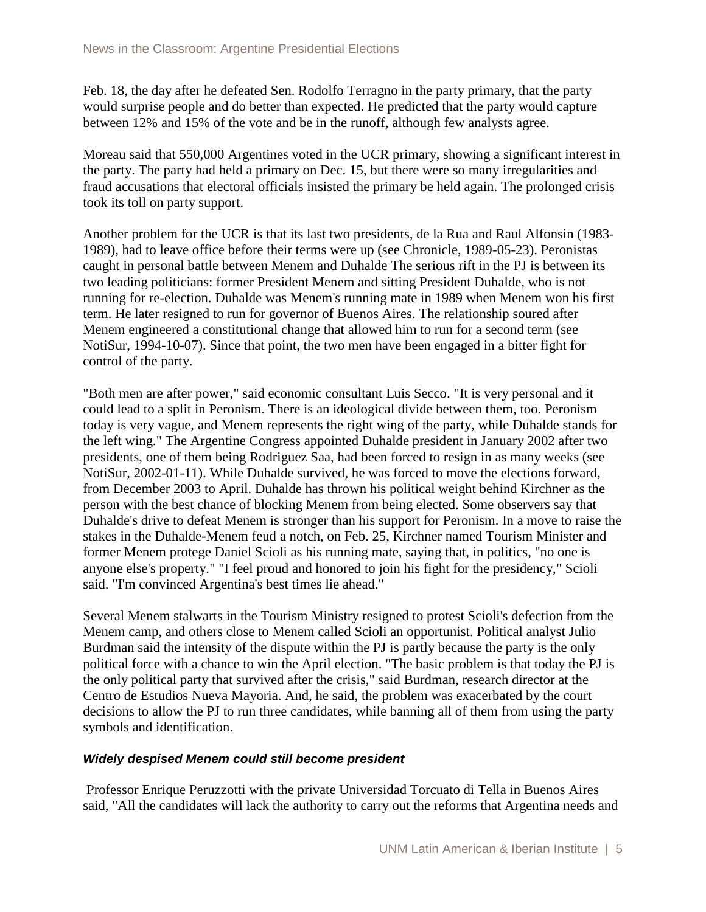Feb. 18, the day after he defeated Sen. Rodolfo Terragno in the party primary, that the party would surprise people and do better than expected. He predicted that the party would capture between 12% and 15% of the vote and be in the runoff, although few analysts agree.

Moreau said that 550,000 Argentines voted in the UCR primary, showing a significant interest in the party. The party had held a primary on Dec. 15, but there were so many irregularities and fraud accusations that electoral officials insisted the primary be held again. The prolonged crisis took its toll on party support.

Another problem for the UCR is that its last two presidents, de la Rua and Raul Alfonsin (1983- 1989), had to leave office before their terms were up (see Chronicle, 1989-05-23). Peronistas caught in personal battle between Menem and Duhalde The serious rift in the PJ is between its two leading politicians: former President Menem and sitting President Duhalde, who is not running for re-election. Duhalde was Menem's running mate in 1989 when Menem won his first term. He later resigned to run for governor of Buenos Aires. The relationship soured after Menem engineered a constitutional change that allowed him to run for a second term (see NotiSur, 1994-10-07). Since that point, the two men have been engaged in a bitter fight for control of the party.

"Both men are after power," said economic consultant Luis Secco. "It is very personal and it could lead to a split in Peronism. There is an ideological divide between them, too. Peronism today is very vague, and Menem represents the right wing of the party, while Duhalde stands for the left wing." The Argentine Congress appointed Duhalde president in January 2002 after two presidents, one of them being Rodriguez Saa, had been forced to resign in as many weeks (see NotiSur, 2002-01-11). While Duhalde survived, he was forced to move the elections forward, from December 2003 to April. Duhalde has thrown his political weight behind Kirchner as the person with the best chance of blocking Menem from being elected. Some observers say that Duhalde's drive to defeat Menem is stronger than his support for Peronism. In a move to raise the stakes in the Duhalde-Menem feud a notch, on Feb. 25, Kirchner named Tourism Minister and former Menem protege Daniel Scioli as his running mate, saying that, in politics, "no one is anyone else's property." "I feel proud and honored to join his fight for the presidency," Scioli said. "I'm convinced Argentina's best times lie ahead."

Several Menem stalwarts in the Tourism Ministry resigned to protest Scioli's defection from the Menem camp, and others close to Menem called Scioli an opportunist. Political analyst Julio Burdman said the intensity of the dispute within the PJ is partly because the party is the only political force with a chance to win the April election. "The basic problem is that today the PJ is the only political party that survived after the crisis," said Burdman, research director at the Centro de Estudios Nueva Mayoria. And, he said, the problem was exacerbated by the court decisions to allow the PJ to run three candidates, while banning all of them from using the party symbols and identification.

#### *Widely despised Menem could still become president*

Professor Enrique Peruzzotti with the private Universidad Torcuato di Tella in Buenos Aires said, "All the candidates will lack the authority to carry out the reforms that Argentina needs and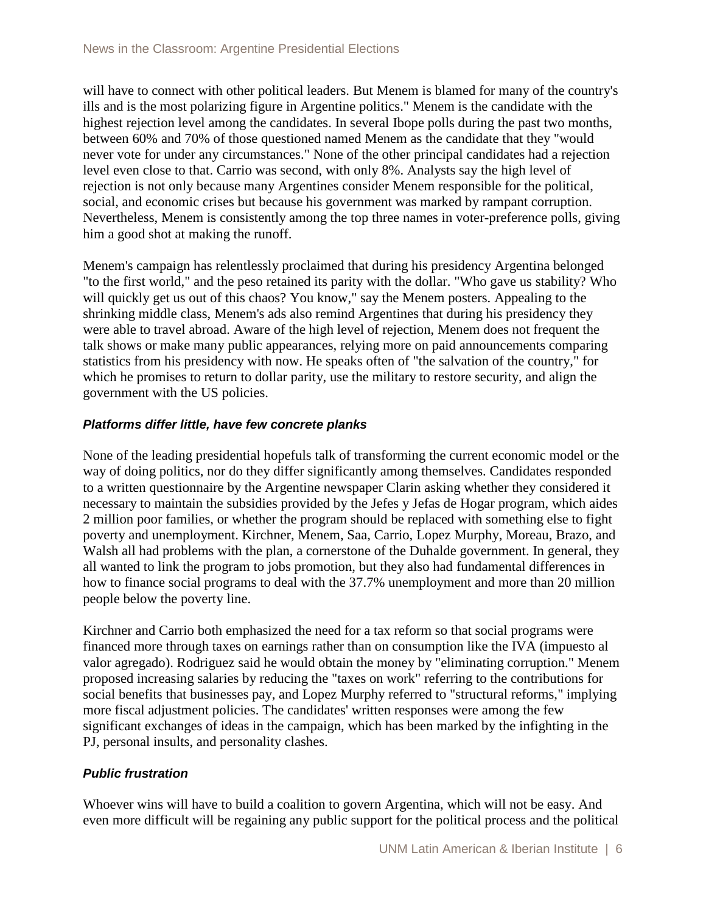will have to connect with other political leaders. But Menem is blamed for many of the country's ills and is the most polarizing figure in Argentine politics." Menem is the candidate with the highest rejection level among the candidates. In several Ibope polls during the past two months, between 60% and 70% of those questioned named Menem as the candidate that they "would never vote for under any circumstances." None of the other principal candidates had a rejection level even close to that. Carrio was second, with only 8%. Analysts say the high level of rejection is not only because many Argentines consider Menem responsible for the political, social, and economic crises but because his government was marked by rampant corruption. Nevertheless, Menem is consistently among the top three names in voter-preference polls, giving him a good shot at making the runoff.

Menem's campaign has relentlessly proclaimed that during his presidency Argentina belonged "to the first world," and the peso retained its parity with the dollar. "Who gave us stability? Who will quickly get us out of this chaos? You know," say the Menem posters. Appealing to the shrinking middle class, Menem's ads also remind Argentines that during his presidency they were able to travel abroad. Aware of the high level of rejection, Menem does not frequent the talk shows or make many public appearances, relying more on paid announcements comparing statistics from his presidency with now. He speaks often of "the salvation of the country," for which he promises to return to dollar parity, use the military to restore security, and align the government with the US policies.

# *Platforms differ little, have few concrete planks*

None of the leading presidential hopefuls talk of transforming the current economic model or the way of doing politics, nor do they differ significantly among themselves. Candidates responded to a written questionnaire by the Argentine newspaper Clarin asking whether they considered it necessary to maintain the subsidies provided by the Jefes y Jefas de Hogar program, which aides 2 million poor families, or whether the program should be replaced with something else to fight poverty and unemployment. Kirchner, Menem, Saa, Carrio, Lopez Murphy, Moreau, Brazo, and Walsh all had problems with the plan, a cornerstone of the Duhalde government. In general, they all wanted to link the program to jobs promotion, but they also had fundamental differences in how to finance social programs to deal with the 37.7% unemployment and more than 20 million people below the poverty line.

Kirchner and Carrio both emphasized the need for a tax reform so that social programs were financed more through taxes on earnings rather than on consumption like the IVA (impuesto al valor agregado). Rodriguez said he would obtain the money by "eliminating corruption." Menem proposed increasing salaries by reducing the "taxes on work" referring to the contributions for social benefits that businesses pay, and Lopez Murphy referred to "structural reforms," implying more fiscal adjustment policies. The candidates' written responses were among the few significant exchanges of ideas in the campaign, which has been marked by the infighting in the PJ, personal insults, and personality clashes.

# *Public frustration*

Whoever wins will have to build a coalition to govern Argentina, which will not be easy. And even more difficult will be regaining any public support for the political process and the political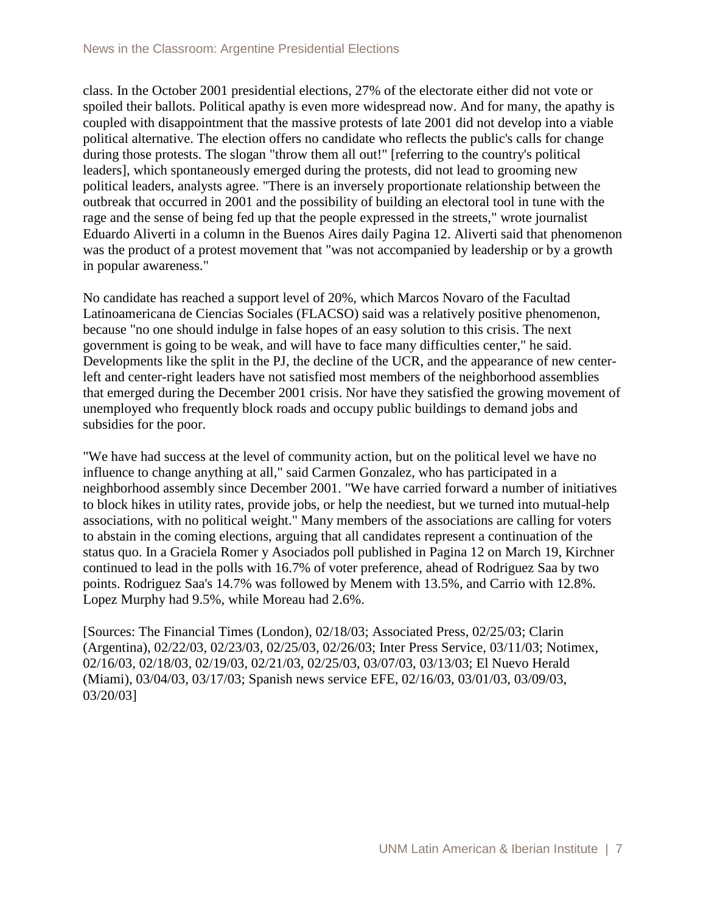class. In the October 2001 presidential elections, 27% of the electorate either did not vote or spoiled their ballots. Political apathy is even more widespread now. And for many, the apathy is coupled with disappointment that the massive protests of late 2001 did not develop into a viable political alternative. The election offers no candidate who reflects the public's calls for change during those protests. The slogan "throw them all out!" [referring to the country's political leaders], which spontaneously emerged during the protests, did not lead to grooming new political leaders, analysts agree. "There is an inversely proportionate relationship between the outbreak that occurred in 2001 and the possibility of building an electoral tool in tune with the rage and the sense of being fed up that the people expressed in the streets," wrote journalist Eduardo Aliverti in a column in the Buenos Aires daily Pagina 12. Aliverti said that phenomenon was the product of a protest movement that "was not accompanied by leadership or by a growth in popular awareness."

No candidate has reached a support level of 20%, which Marcos Novaro of the Facultad Latinoamericana de Ciencias Sociales (FLACSO) said was a relatively positive phenomenon, because "no one should indulge in false hopes of an easy solution to this crisis. The next government is going to be weak, and will have to face many difficulties center," he said. Developments like the split in the PJ, the decline of the UCR, and the appearance of new centerleft and center-right leaders have not satisfied most members of the neighborhood assemblies that emerged during the December 2001 crisis. Nor have they satisfied the growing movement of unemployed who frequently block roads and occupy public buildings to demand jobs and subsidies for the poor.

"We have had success at the level of community action, but on the political level we have no influence to change anything at all," said Carmen Gonzalez, who has participated in a neighborhood assembly since December 2001. "We have carried forward a number of initiatives to block hikes in utility rates, provide jobs, or help the neediest, but we turned into mutual-help associations, with no political weight." Many members of the associations are calling for voters to abstain in the coming elections, arguing that all candidates represent a continuation of the status quo. In a Graciela Romer y Asociados poll published in Pagina 12 on March 19, Kirchner continued to lead in the polls with 16.7% of voter preference, ahead of Rodriguez Saa by two points. Rodriguez Saa's 14.7% was followed by Menem with 13.5%, and Carrio with 12.8%. Lopez Murphy had 9.5%, while Moreau had 2.6%.

[Sources: The Financial Times (London), 02/18/03; Associated Press, 02/25/03; Clarin (Argentina), 02/22/03, 02/23/03, 02/25/03, 02/26/03; Inter Press Service, 03/11/03; Notimex, 02/16/03, 02/18/03, 02/19/03, 02/21/03, 02/25/03, 03/07/03, 03/13/03; El Nuevo Herald (Miami), 03/04/03, 03/17/03; Spanish news service EFE, 02/16/03, 03/01/03, 03/09/03, 03/20/03]